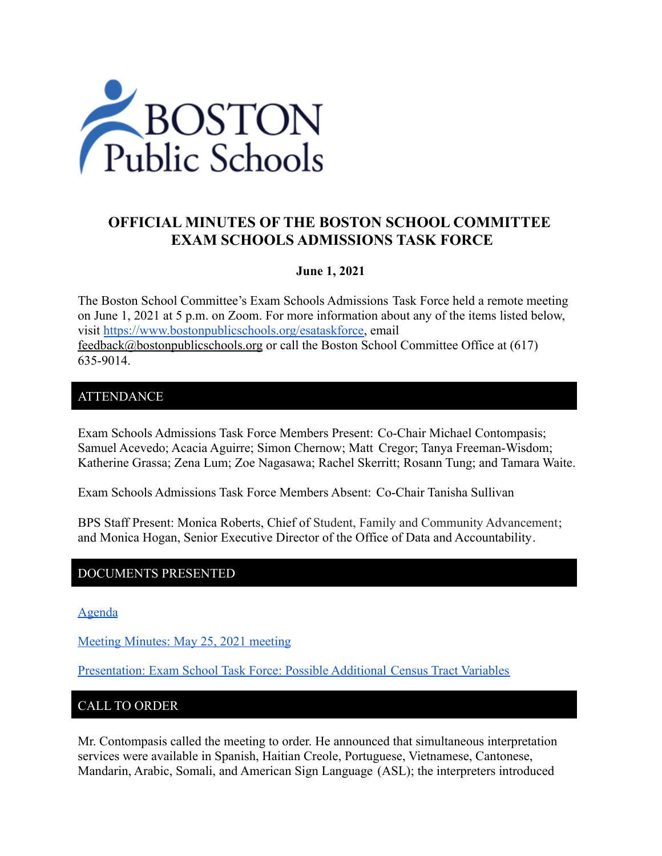

# **OFFICIAL MINUTES OF THE BOSTON SCHOOL COMMITTEE EXAM SCHOOLS ADMISSIONS TASK FORCE**

#### **June 1, 2021**

The Boston School Committee's Exam Schools Admissions Task Force held a remote meeting on June 1, 2021 at 5 p.m. on Zoom. For more information about any of the items listed below, visit [https://www.bostonpublicschools.org/esataskforce,](https://www.bostonpublicschools.org/esataskforce) email [feedback@bostonpublicschools.org](mailto:feedback@bostonpublicschools.org) or call the Boston School Committee Office at (617) 635-9014.

### ATTENDANCE

Exam Schools Admissions Task Force Members Present: Co-Chair Michael Contompasis; Samuel Acevedo; Acacia Aguirre; Simon Chernow; Matt Cregor; Tanya Freeman-Wisdom; Katherine Grassa; Zena Lum; Zoe Nagasawa; Rachel Skerritt; Rosann Tung; and Tamara Waite.

Exam Schools Admissions Task Force Members Absent: Co-Chair Tanisha Sullivan

BPS Staff Present: Monica Roberts, Chief of Student, Family and Community Advancement; and Monica Hogan, Senior Executive Director of the Office of Data and Accountability.

#### DOCUMENTS PRESENTED

[Agenda](https://www.boston.gov/public-notices/15106571)

[Meeting Minutes: May 25, 2021 meeting](https://www.bostonpublicschools.org/cms/lib/MA01906464/Centricity/Domain/2931/Minutes%205%2025%2021%20Exam%20School%20Admission%20TF%20Meeting.docx.pdf)

[Presentation: Exam School Task Force: Possible Additional](https://www.bostonpublicschools.org/cms/lib/MA01906464/Centricity/Domain/2931/Exam%20School%20Task%20Force%20Additional%20Census%20Tract%20Variables%20%206%201%2021.pdf) Census Tract Variables

#### CALL TO ORDER

Mr. Contompasis called the meeting to order. He announced that simultaneous interpretation services were available in Spanish, Haitian Creole, Portuguese, Vietnamese, Cantonese, Mandarin, Arabic, Somali, and American Sign Language (ASL); the interpreters introduced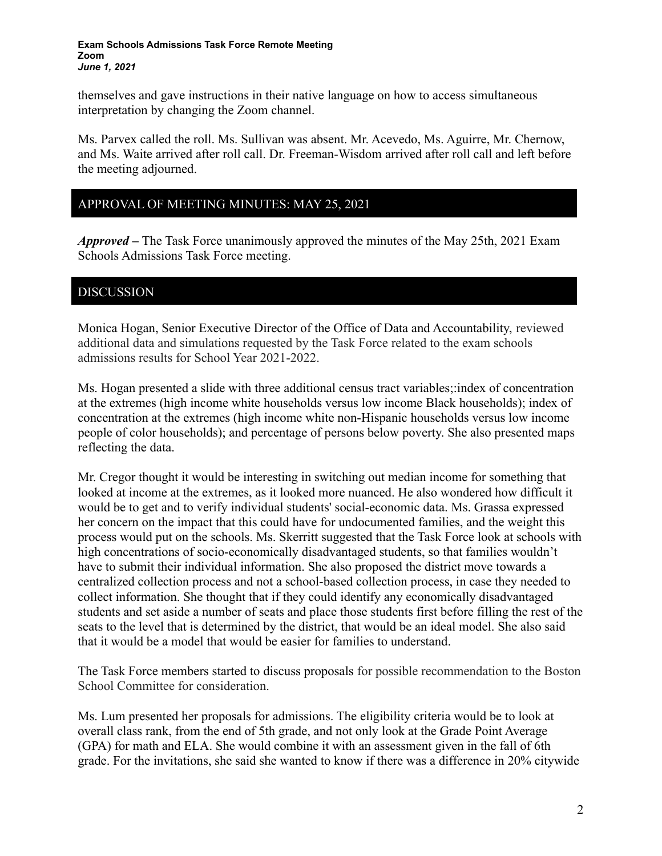#### **Exam Schools Admissions Task Force Remote Meeting Zoom** *June 1, 2021*

themselves and gave instructions in their native language on how to access simultaneous interpretation by changing the Zoom channel.

Ms. Parvex called the roll. Ms. Sullivan was absent. Mr. Acevedo, Ms. Aguirre, Mr. Chernow, and Ms. Waite arrived after roll call. Dr. Freeman-Wisdom arrived after roll call and left before the meeting adjourned.

### APPROVAL OF MEETING MINUTES: MAY 25, 2021

*Approved –* The Task Force unanimously approved the minutes of the May 25th, 2021 Exam Schools Admissions Task Force meeting.

### DISCUSSION

Monica Hogan, Senior Executive Director of the Office of Data and Accountability, reviewed additional data and simulations requested by the Task Force related to the exam schools admissions results for School Year 2021-2022.

Ms. Hogan presented a slide with three additional census tract variables;:index of concentration at the extremes (high income white households versus low income Black households); index of concentration at the extremes (high income white non-Hispanic households versus low income people of color households); and percentage of persons below poverty. She also presented maps reflecting the data.

Mr. Cregor thought it would be interesting in switching out median income for something that looked at income at the extremes, as it looked more nuanced. He also wondered how difficult it would be to get and to verify individual students' social-economic data. Ms. Grassa expressed her concern on the impact that this could have for undocumented families, and the weight this process would put on the schools. Ms. Skerritt suggested that the Task Force look at schools with high concentrations of socio-economically disadvantaged students, so that families wouldn't have to submit their individual information. She also proposed the district move towards a centralized collection process and not a school-based collection process, in case they needed to collect information. She thought that if they could identify any economically disadvantaged students and set aside a number of seats and place those students first before filling the rest of the seats to the level that is determined by the district, that would be an ideal model. She also said that it would be a model that would be easier for families to understand.

The Task Force members started to discuss proposals for possible recommendation to the Boston School Committee for consideration.

Ms. Lum presented her proposals for admissions. The eligibility criteria would be to look at overall class rank, from the end of 5th grade, and not only look at the Grade Point Average (GPA) for math and ELA. She would combine it with an assessment given in the fall of 6th grade. For the invitations, she said she wanted to know if there was a difference in 20% citywide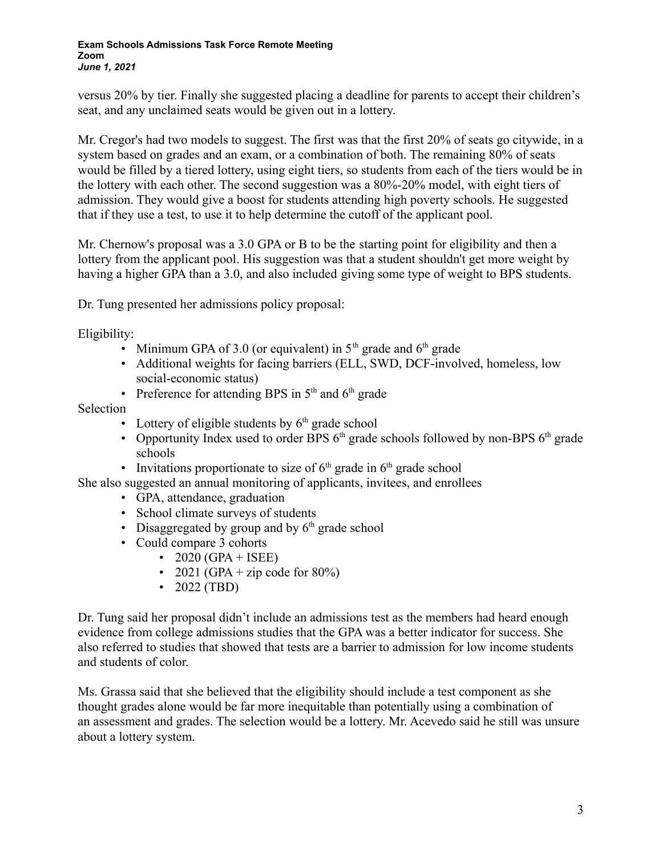versus 20% by tier. Finally she suggested placing a deadline for parents to accept their children's seat, and any unclaimed seats would be given out in a lottery.

Mr. Cregor's had two models to suggest. The first was that the first 20% of seats go citywide, in a system based on grades and an exam, or a combination of both. The remaining 80% of seats would be filled by a tiered lottery, using eight tiers, so students from each of the tiers would be in the lottery with each other. The second suggestion was a 80%-20% model, with eight tiers of admission. They would give a boost for students attending high poverty schools. He suggested that if they use a test, to use it to help determine the cutoff of the applicant pool.

Mr. Chernow's proposal was a 3.0 GPA or B to be the starting point for eligibility and then a lottery from the applicant pool. His suggestion was that a student shouldn't get more weight by having a higher GPA than a 3.0, and also included giving some type of weight to BPS students.

Dr. Tung presented her admissions policy proposal:

Eligibility:

- Minimum GPA of 3.0 (or equivalent) in  $5<sup>th</sup>$  grade and  $6<sup>th</sup>$  grade
- Additional weights for facing barriers (ELL, SWD, DCF-involved, homeless, low social-economic status)
- Preference for attending BPS in  $5<sup>th</sup>$  and  $6<sup>th</sup>$  grade

Selection

- Lottery of eligible students by  $6<sup>th</sup>$  grade school
- Opportunity Index used to order BPS  $6<sup>th</sup>$  grade schools followed by non-BPS  $6<sup>th</sup>$  grade schools
- Invitations proportionate to size of  $6<sup>th</sup>$  grade in  $6<sup>th</sup>$  grade school

She also suggested an annual monitoring of applicants, invitees, and enrollees

- GPA, attendance, graduation
- School climate surveys of students
- Disaggregated by group and by  $6<sup>th</sup>$  grade school
- Could compare 3 cohorts
	- 2020 (GPA + ISEE)
	- 2021 (GPA + zip code for  $80\%$ )
	- 2022 (TBD)

Dr. Tung said her proposal didn't include an admissions test as the members had heard enough evidence from college admissions studies that the GPA was a better indicator for success. She also referred to studies that showed that tests are a barrier to admission for low income students and students of color.

Ms. Grassa said that she believed that the eligibility should include a test component as she thought grades alone would be far more inequitable than potentially using a combination of an assessment and grades. The selection would be a lottery. Mr. Acevedo said he still was unsure about a lottery system.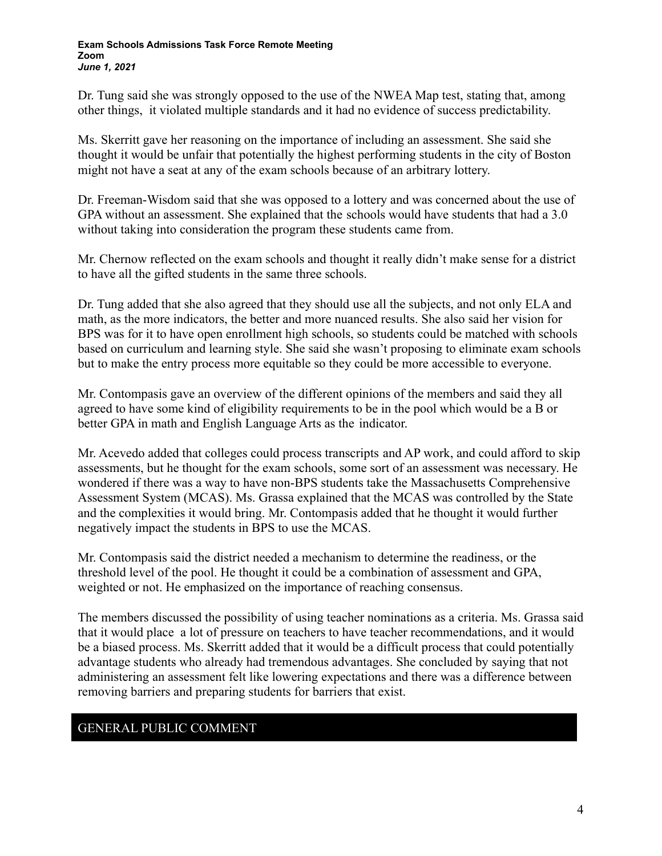Dr. Tung said she was strongly opposed to the use of the NWEA Map test, stating that, among other things, it violated multiple standards and it had no evidence of success predictability.

Ms. Skerritt gave her reasoning on the importance of including an assessment. She said she thought it would be unfair that potentially the highest performing students in the city of Boston might not have a seat at any of the exam schools because of an arbitrary lottery.

Dr. Freeman-Wisdom said that she was opposed to a lottery and was concerned about the use of GPA without an assessment. She explained that the schools would have students that had a 3.0 without taking into consideration the program these students came from.

Mr. Chernow reflected on the exam schools and thought it really didn't make sense for a district to have all the gifted students in the same three schools.

Dr. Tung added that she also agreed that they should use all the subjects, and not only ELA and math, as the more indicators, the better and more nuanced results. She also said her vision for BPS was for it to have open enrollment high schools, so students could be matched with schools based on curriculum and learning style. She said she wasn't proposing to eliminate exam schools but to make the entry process more equitable so they could be more accessible to everyone.

Mr. Contompasis gave an overview of the different opinions of the members and said they all agreed to have some kind of eligibility requirements to be in the pool which would be a B or better GPA in math and English Language Arts as the indicator.

Mr. Acevedo added that colleges could process transcripts and AP work, and could afford to skip assessments, but he thought for the exam schools, some sort of an assessment was necessary. He wondered if there was a way to have non-BPS students take the Massachusetts Comprehensive Assessment System (MCAS). Ms. Grassa explained that the MCAS was controlled by the State and the complexities it would bring. Mr. Contompasis added that he thought it would further negatively impact the students in BPS to use the MCAS.

Mr. Contompasis said the district needed a mechanism to determine the readiness, or the threshold level of the pool. He thought it could be a combination of assessment and GPA, weighted or not. He emphasized on the importance of reaching consensus.

The members discussed the possibility of using teacher nominations as a criteria. Ms. Grassa said that it would place a lot of pressure on teachers to have teacher recommendations, and it would be a biased process. Ms. Skerritt added that it would be a difficult process that could potentially advantage students who already had tremendous advantages. She concluded by saying that not administering an assessment felt like lowering expectations and there was a difference between removing barriers and preparing students for barriers that exist.

# GENERAL PUBLIC COMMENT